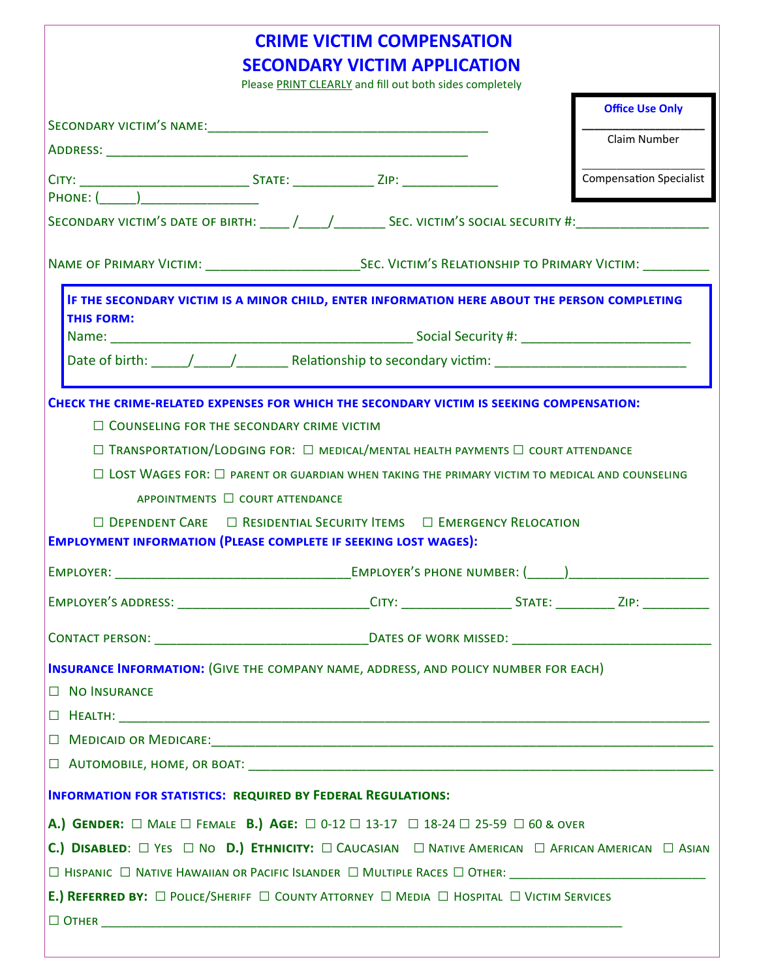|                                                                                                                                                                                                                                                                                                                                                                                         | <b>CRIME VICTIM COMPENSATION</b><br><b>SECONDARY VICTIM APPLICATION</b><br>Please PRINT CLEARLY and fill out both sides completely |  |                                |
|-----------------------------------------------------------------------------------------------------------------------------------------------------------------------------------------------------------------------------------------------------------------------------------------------------------------------------------------------------------------------------------------|------------------------------------------------------------------------------------------------------------------------------------|--|--------------------------------|
|                                                                                                                                                                                                                                                                                                                                                                                         |                                                                                                                                    |  | <b>Office Use Only</b>         |
|                                                                                                                                                                                                                                                                                                                                                                                         |                                                                                                                                    |  | Claim Number                   |
|                                                                                                                                                                                                                                                                                                                                                                                         |                                                                                                                                    |  | <b>Compensation Specialist</b> |
| PHONE: ( )                                                                                                                                                                                                                                                                                                                                                                              |                                                                                                                                    |  |                                |
|                                                                                                                                                                                                                                                                                                                                                                                         |                                                                                                                                    |  |                                |
|                                                                                                                                                                                                                                                                                                                                                                                         |                                                                                                                                    |  |                                |
| IF THE SECONDARY VICTIM IS A MINOR CHILD, ENTER INFORMATION HERE ABOUT THE PERSON COMPLETING<br><b>THIS FORM:</b>                                                                                                                                                                                                                                                                       |                                                                                                                                    |  |                                |
|                                                                                                                                                                                                                                                                                                                                                                                         |                                                                                                                                    |  |                                |
|                                                                                                                                                                                                                                                                                                                                                                                         |                                                                                                                                    |  |                                |
| $\Box$ LOST WAGES FOR: $\Box$ PARENT OR GUARDIAN WHEN TAKING THE PRIMARY VICTIM TO MEDICAL AND COUNSELING<br>APPOINTMENTS □ COURT ATTENDANCE<br>$\Box$ DEPENDENT CARE $\Box$ RESIDENTIAL SECURITY ITEMS $\Box$ EMERGENCY RELOCATION<br><b>EMPLOYMENT INFORMATION (PLEASE COMPLETE IF SEEKING LOST WAGES):</b><br><b>EMPLOYER:</b>                                                       |                                                                                                                                    |  |                                |
| EMPLOYER'S ADDRESS: ______________________________CITY: ___________________________________ZIP: ______________                                                                                                                                                                                                                                                                          |                                                                                                                                    |  |                                |
|                                                                                                                                                                                                                                                                                                                                                                                         |                                                                                                                                    |  |                                |
| <b>INSURANCE INFORMATION: (GIVE THE COMPANY NAME, ADDRESS, AND POLICY NUMBER FOR EACH)</b><br>$\Box$ NO INSURANCE                                                                                                                                                                                                                                                                       |                                                                                                                                    |  |                                |
| <b>INFORMATION FOR STATISTICS: REQUIRED BY FEDERAL REGULATIONS:</b>                                                                                                                                                                                                                                                                                                                     |                                                                                                                                    |  |                                |
| A.) GENDER: $\Box$ Male $\Box$ Female B.) AGE: $\Box$ 0-12 $\Box$ 13-17 $\Box$ 18-24 $\Box$ 25-59 $\Box$ 60 & over<br><b>C.) DISABLED:</b> $\Box$ Yes $\Box$ No <b>D.) ETHNICITY:</b> $\Box$ CAUCASIAN $\Box$ NATIVE AMERICAN $\Box$ AFRICAN AMERICAN $\Box$ ASIAN<br>E.) REFERRED BY: $\Box$ POLICE/SHERIFF $\Box$ COUNTY ATTORNEY $\Box$ MEDIA $\Box$ HOSPITAL $\Box$ VICTIM SERVICES |                                                                                                                                    |  |                                |
|                                                                                                                                                                                                                                                                                                                                                                                         |                                                                                                                                    |  |                                |